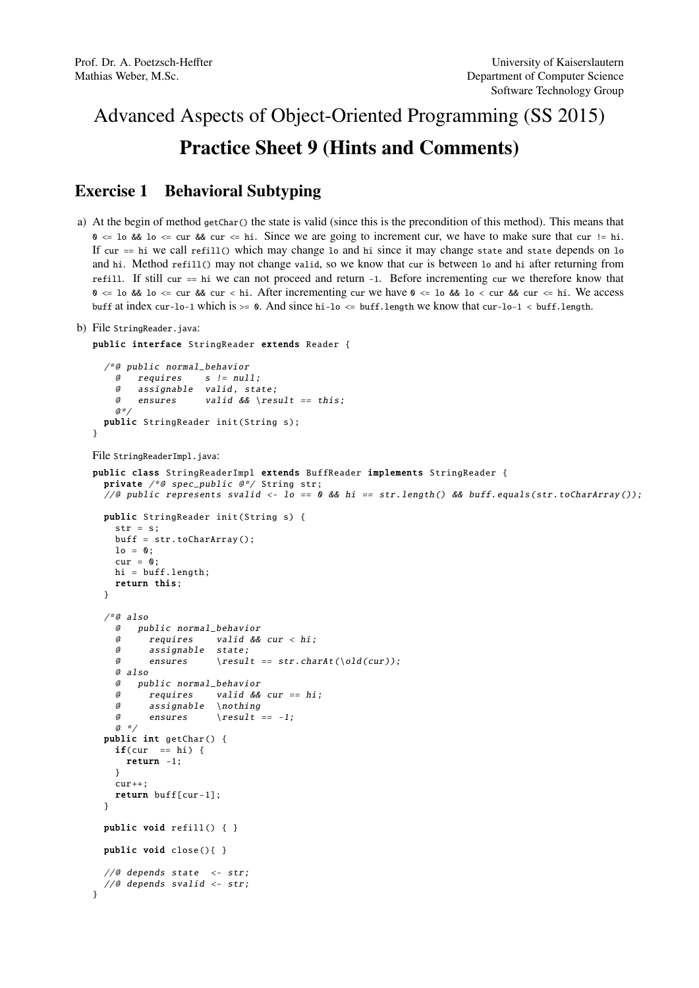## Advanced Aspects of Object-Oriented Programming (SS 2015) Practice Sheet 9 (Hints and Comments)

## Exercise 1 Behavioral Subtyping

a) At the begin of method getChar() the state is valid (since this is the precondition of this method). This means that  $\theta \leq 10$  &&  $10 \leq \text{cur}$  && cur  $\leq \text{hi}$ . Since we are going to increment cur, we have to make sure that cur != hi. If cur == hi we call refill() which may change lo and hi since it may change state and state depends on lo and hi. Method refill() may not change valid, so we know that cur is between lo and hi after returning from refill. If still cur == hi we can not proceed and return -1. Before incrementing cur we therefore know that  $0 \le \log \log \log \log x$  cur  $\log \log x$  cur  $\log \log x$  incrementing cur we have  $0 \le \log \log \log x$  lo  $\log \log x$  cur  $\log \log x$  cur  $\log \log x$ buff at index cur-lo-1 which is  $>= 0$ . And since hi-lo  $<=$  buff.length we know that cur-lo-1  $\lt$  buff.length.

```
b) File StringReader.java:
```

```
public interface StringReader extends Reader {
```

```
/*@ public normal_behavior
   @ requires s != null;
   @ assignable valid, state;
   @ ensures valid && \result == this;
   a \cdot \primepublic StringReader init(String s);
}
```
File StringReaderImpl.java:

}

```
public class StringReaderImpl extends BuffReader implements StringReader {
 private /*@ spec_public @*/ String str;
  \sqrt{a} public represents svalid <- lo == 0 && hi == str.length() && buff.equals(str.toCharArray());
 public StringReader init(String s) {
    str = s;buff = str. toCharArray ();
   lo = 0;
   cur = 0:
   hi = buff.length;
   return this;
 }
  /*@ also
   @ public normal_behavior
    @ requires valid && cur < hi;
    @ assignable state;
    @ ensures \result == str.charAt(\old(cur));
    @ also
    @ public normal_behavior
    @ requires valid && cur == hi;
    @ assignable \nothing
    \emptyset ensures \result == -1;
   a *public int getChar () {
   if(cur == hi)return -1;
    }
    cur++:return buff[cur -1];
 \mathbf{r}public void refill() { }
 public void close (){ }
  //@ depends state \leftarrow str;
  //@ depends svalid \leftarrow str;
```